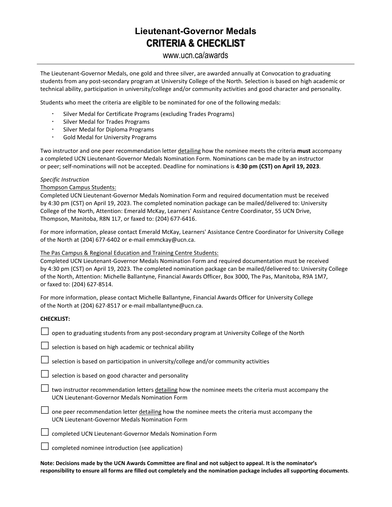### **Lieutenant-Governor Medals CRITERIA & CHECKLIST**

#### www.ucn.ca/awards

The Lieutenant-Governor Medals, one gold and three silver, are awarded annually at Convocation to graduating students from any post-secondary program at University College of the North. Selection is based on high academic or technical ability, participation in university/college and/or community activities and good character and personality.

Students who meet the criteria are eligible to be nominated for one of the following medals:

- Silver Medal for Certificate Programs (excluding Trades Programs)
- Silver Medal for Trades Programs
- Silver Medal for Diploma Programs
- Gold Medal for University Programs

Two instructor and one peer recommendation letter detailing how the nominee meets the criteria **must** accompany a completed UCN Lieutenant-Governor Medals Nomination Form. Nominations can be made by an instructor or peer; self-nominations will not be accepted. Deadline for nominations is **4:30 pm (CST) on April 19, 2023**.

#### *Specific Instruction*

#### Thompson Campus Students:

Completed UCN Lieutenant-Governor Medals Nomination Form and required documentation must be received by 4:30 pm (CST) on April 19, 2023. The completed nomination package can be mailed/delivered to: University College of the North, Attention: Emerald McKay, Learners' Assistance Centre Coordinator, 55 UCN Drive, Thompson, Manitoba, R8N 1L7, or faxed to: (204) 677-6416.

For more information, please contact Emerald McKay, Learners' Assistance Centre Coordinator for University College of the North at (204) 677-6402 or e-mail emmckay@ucn.ca.

#### The Pas Campus & Regional Education and Training Centre Students:

Completed UCN Lieutenant-Governor Medals Nomination Form and required documentation must be received by 4:30 pm (CST) on April 19, 2023. The completed nomination package can be mailed/delivered to: University College of the North, Attention: Michelle Ballantyne, Financial Awards Officer, Box 3000, The Pas, Manitoba, R9A 1M7, or faxed to: (204) 627-8514.

For more information, please contact Michelle Ballantyne, Financial Awards Officer for University College of the North at (204) 627-8517 or e-mail mballantyne@ucn.ca.

#### **CHECKLIST:**

|  | $\Box$ open to graduating students from any post-secondary program at University College of the North |
|--|-------------------------------------------------------------------------------------------------------|
|--|-------------------------------------------------------------------------------------------------------|

 $\Box$  selection is based on high academic or technical ability

 $\Box$  selection is based on participation in university/college and/or community activities

 $\Box$  selection is based on good character and personality

 $\Box$  two instructor recommendation letters detailing how the nominee meets the criteria must accompany the UCN Lieutenant-Governor Medals Nomination Form

 $\Box$  one peer recommendation letter detailing how the nominee meets the criteria must accompany the UCN Lieutenant-Governor Medals Nomination Form

completed UCN Lieutenant-Governor Medals Nomination Form

completed nominee introduction (see application)

**Note: Decisions made by the UCN Awards Committee are final and not subject to appeal. It is the nominator's responsibility to ensure all forms are filled out completely and the nomination package includes all supporting documents**.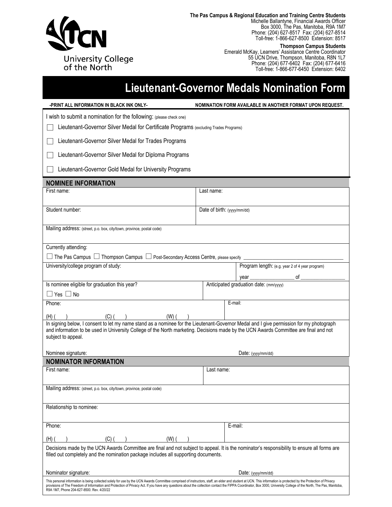

**The Pas Campus & Regional Education and Training Centre Students**

Michelle Ballantyne, Financial Awards Officer Box 3000, The Pas, Manitoba, R9A 1M7 Phone: (204) 627-8517 Fax: (204) 627-8514 Toll-free: 1-866-627-8500 Extension: 8517

#### **Thompson Campus Students**

Emerald McKay, Learners' Assistance Centre Coordinator 55 UCN Drive, Thompson, Manitoba, R8N 1L7 Phone: (204) 677-6402 Fax: (204) 677-6416 Toll-free: 1-866-677-6450 Extension: 6402

## **Lieutenant-Governor Medals Nomination Form**

| -PRINT ALL INFORMATION IN BLACK INK ONLY-                                                                                                                                                                                                                                                                                                                                                                                               | NOMINATION FORM AVAILABLE IN ANOTHER FORMAT UPON REQUEST. |  |  |  |  |
|-----------------------------------------------------------------------------------------------------------------------------------------------------------------------------------------------------------------------------------------------------------------------------------------------------------------------------------------------------------------------------------------------------------------------------------------|-----------------------------------------------------------|--|--|--|--|
| I wish to submit a nomination for the following: (please check one)                                                                                                                                                                                                                                                                                                                                                                     |                                                           |  |  |  |  |
| Lieutenant-Governor Silver Medal for Certificate Programs (excluding Trades Programs)                                                                                                                                                                                                                                                                                                                                                   |                                                           |  |  |  |  |
| Lieutenant-Governor Silver Medal for Trades Programs                                                                                                                                                                                                                                                                                                                                                                                    |                                                           |  |  |  |  |
| Lieutenant-Governor Silver Medal for Diploma Programs                                                                                                                                                                                                                                                                                                                                                                                   |                                                           |  |  |  |  |
| Lieutenant-Governor Gold Medal for University Programs                                                                                                                                                                                                                                                                                                                                                                                  |                                                           |  |  |  |  |
| <b>NOMINEE INFORMATION</b>                                                                                                                                                                                                                                                                                                                                                                                                              |                                                           |  |  |  |  |
| First name:                                                                                                                                                                                                                                                                                                                                                                                                                             | Last name:                                                |  |  |  |  |
| Student number:                                                                                                                                                                                                                                                                                                                                                                                                                         | Date of birth: (yyyy/mm/dd)                               |  |  |  |  |
| Mailing address: (street, p.o. box, city/town, province, postal code)                                                                                                                                                                                                                                                                                                                                                                   |                                                           |  |  |  |  |
| Currently attending:                                                                                                                                                                                                                                                                                                                                                                                                                    |                                                           |  |  |  |  |
| $\Box$ The Pas Campus $\Box$ Thompson Campus $\Box$ Post-Secondary Access Centre, please specify $\Box$                                                                                                                                                                                                                                                                                                                                 |                                                           |  |  |  |  |
| University/college program of study:                                                                                                                                                                                                                                                                                                                                                                                                    | Program length: (e.g. year 2 of 4 year program)           |  |  |  |  |
|                                                                                                                                                                                                                                                                                                                                                                                                                                         | of $\_$                                                   |  |  |  |  |
| Is nominee eligible for graduation this year?                                                                                                                                                                                                                                                                                                                                                                                           | Anticipated graduation date: (mm/yyyy)                    |  |  |  |  |
| $\Box$ Yes $\Box$ No                                                                                                                                                                                                                                                                                                                                                                                                                    |                                                           |  |  |  |  |
| Phone:                                                                                                                                                                                                                                                                                                                                                                                                                                  | E-mail:                                                   |  |  |  |  |
|                                                                                                                                                                                                                                                                                                                                                                                                                                         |                                                           |  |  |  |  |
| $(H)$ ( $(H)$ ) ( $(H)$ ) ( $(H)$ ) ( $(H)$ ) ( $(H)$ ) ( $(H)$ ) ( $(H)$ ) ( $(H)$ ) are permission for my photograph in signing below, I consent to let my name stand as a nominee for the Lieutenant-Governor Medal and I give permission for my ph<br>and information to be used in University College of the North marketing. Decisions made by the UCN Awards Committee are final and not<br>subject to appeal.                   |                                                           |  |  |  |  |
| Nominee signature:                                                                                                                                                                                                                                                                                                                                                                                                                      | Date: (yyyy/mm/dd)                                        |  |  |  |  |
| <b>NOMINATOR INFORMATION</b>                                                                                                                                                                                                                                                                                                                                                                                                            |                                                           |  |  |  |  |
| First name:                                                                                                                                                                                                                                                                                                                                                                                                                             | Last name:                                                |  |  |  |  |
| Mailing address: (street, p.o. box, city/town, province, postal code)                                                                                                                                                                                                                                                                                                                                                                   |                                                           |  |  |  |  |
| Relationship to nominee:                                                                                                                                                                                                                                                                                                                                                                                                                |                                                           |  |  |  |  |
| Phone:                                                                                                                                                                                                                                                                                                                                                                                                                                  | E-mail:                                                   |  |  |  |  |
| (H) (<br>(C) (<br>(W) (                                                                                                                                                                                                                                                                                                                                                                                                                 |                                                           |  |  |  |  |
| Decisions made by the UCN Awards Committee are final and not subject to appeal. It is the nominator's responsibility to ensure all forms are<br>filled out completely and the nomination package includes all supporting documents.                                                                                                                                                                                                     |                                                           |  |  |  |  |
| Nominator signature:                                                                                                                                                                                                                                                                                                                                                                                                                    | Date: (yyyy/mm/dd)                                        |  |  |  |  |
| This personal information is being collected solely for use by the UCN Awards Committee comprised of instructors, staff, an elder and student at UCN. This information is protected by the Protection of Privacy<br>provisions of The Freedom of Information and Protection of Privacy Act. If you have any questions about the collection contact the FIPPA Coordinator, Box 3000, University College of the North, The Pas, Manitoba, |                                                           |  |  |  |  |

R9A 1M7, Phone 204-627-8500. Rev. 4/20/22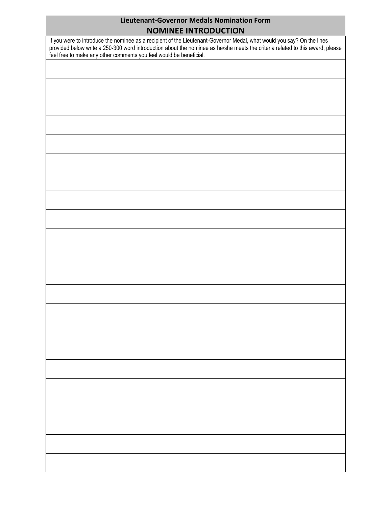# **Lieutenant-Governor Medals Nomination Form**

| <b>NOMINEE INTRODUCTION</b>                                                                                                                                                                                                                                                                                                   |  |  |  |  |
|-------------------------------------------------------------------------------------------------------------------------------------------------------------------------------------------------------------------------------------------------------------------------------------------------------------------------------|--|--|--|--|
| If you were to introduce the nominee as a recipient of the Lieutenant-Governor Medal, what would you say? On the lines<br>provided below write a 250-300 word introduction about the nominee as he/she meets the criteria related to this award; please<br>feel free to make any other comments you feel would be beneficial. |  |  |  |  |
|                                                                                                                                                                                                                                                                                                                               |  |  |  |  |
|                                                                                                                                                                                                                                                                                                                               |  |  |  |  |
|                                                                                                                                                                                                                                                                                                                               |  |  |  |  |
|                                                                                                                                                                                                                                                                                                                               |  |  |  |  |
|                                                                                                                                                                                                                                                                                                                               |  |  |  |  |
|                                                                                                                                                                                                                                                                                                                               |  |  |  |  |
|                                                                                                                                                                                                                                                                                                                               |  |  |  |  |
|                                                                                                                                                                                                                                                                                                                               |  |  |  |  |
|                                                                                                                                                                                                                                                                                                                               |  |  |  |  |
|                                                                                                                                                                                                                                                                                                                               |  |  |  |  |
|                                                                                                                                                                                                                                                                                                                               |  |  |  |  |
|                                                                                                                                                                                                                                                                                                                               |  |  |  |  |
|                                                                                                                                                                                                                                                                                                                               |  |  |  |  |
|                                                                                                                                                                                                                                                                                                                               |  |  |  |  |
|                                                                                                                                                                                                                                                                                                                               |  |  |  |  |
|                                                                                                                                                                                                                                                                                                                               |  |  |  |  |
|                                                                                                                                                                                                                                                                                                                               |  |  |  |  |
|                                                                                                                                                                                                                                                                                                                               |  |  |  |  |
|                                                                                                                                                                                                                                                                                                                               |  |  |  |  |
|                                                                                                                                                                                                                                                                                                                               |  |  |  |  |
|                                                                                                                                                                                                                                                                                                                               |  |  |  |  |
|                                                                                                                                                                                                                                                                                                                               |  |  |  |  |